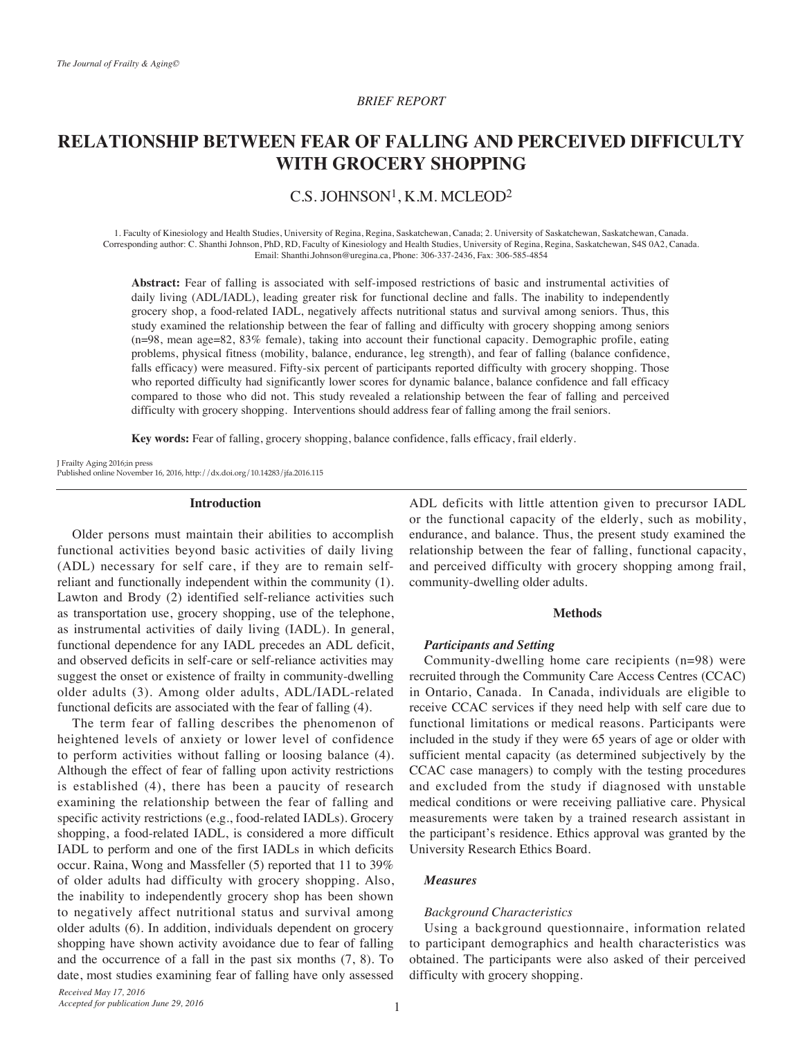## *REPORT BRIEF*

# **RELATIONSHIP BETWEEN FEAR OF FALLING AND PERCEIVED DIFFICULTY WITH GROCERY SHOPPING**

# $C.S.$  JOHNSON<sup>1</sup>, K.M. MCLEOD<sup>2</sup>

1. Faculty of Kinesiology and Health Studies, University of Regina, Regina, Saskatchewan, Canada; 2. University of Saskatchewan, Saskatchewan, Canada. Corresponding author: C. Shanthi Johnson, PhD, RD, Faculty of Kinesiology and Health Studies, University of Regina, Regina, Saskatchewan, S4S 0A2, Canada. Email: Shanthi Johnson@uregina.ca, Phone: 306-337-2436, Fax: 306-585-4854

Abstract: Fear of falling is associated with self-imposed restrictions of basic and instrumental activities of daily living (ADL/IADL), leading greater risk for functional decline and falls. The inability to independently grocery shop, a food-related IADL, negatively affects nutritional status and survival among seniors. Thus, this study examined the relationship between the fear of falling and difficulty with grocery shopping among seniors (n=98, mean age=82, 83% female), taking into account their functional capacity. Demographic profile, eating problems, physical fitness (mobility, balance, endurance, leg strength), and fear of falling (balance confidence, falls efficacy) were measured. Fifty-six percent of participants reported difficulty with grocery shopping. Those who reported difficulty had significantly lower scores for dynamic balance, balance confidence and fall efficacy compared to those who did not. This study revealed a relationship between the fear of falling and perceived difficulty with grocery shopping. Interventions should address fear of falling among the frail seniors.

Key words: Fear of falling, grocery shopping, balance confidence, falls efficacy, frail elderly.

J Frailty Aging 2016;in press Published online November 16, 2016, http://dx.doi.org/10.14283/jfa.2016.115

#### **Introduction**

Older persons must maintain their abilities to accomplish functional activities beyond basic activities of daily living reliant and functionally independent within the community (1). (ADL) necessary for self care, if they are to remain self-Lawton and Brody (2) identified self-reliance activities such as transportation use, grocery shopping, use of the telephone, as instrumental activities of daily living (IADL). In general, functional dependence for any IADL precedes an ADL deficit, and observed deficits in self-care or self-reliance activities may suggest the onset or existence of frailty in community-dwelling older adults (3). Among older adults, ADL/IADL-related functional deficits are associated with the fear of falling (4).

The term fear of falling describes the phenomenon of heightened levels of anxiety or lower level of confidence to perform activities without falling or loosing balance (4). Although the effect of fear of falling upon activity restrictions is established  $(4)$ , there has been a paucity of research examining the relationship between the fear of falling and specific activity restrictions (e.g., food-related IADLs). Grocery shopping, a food-related IADL, is considered a more difficult IADL to perform and one of the first IADLs in which deficits occur. Raina, Wong and Massfeller  $(5)$  reported that 11 to 39% of older adults had difficulty with grocery shopping. Also, the inability to independently grocery shop has been shown to negatively affect nutritional status and survival among older adults (6). In addition, individuals dependent on grocery shopping have shown activity avoidance due to fear of falling and the occurrence of a fall in the past six months  $(7, 8)$ . To date, most studies examining fear of falling have only assessed

ADL deficits with little attention given to precursor IADL or the functional capacity of the elderly, such as mobility, endurance, and balance. Thus, the present study examined the relationship between the fear of falling, functional capacity, and perceived difficulty with grocery shopping among frail, community-dwelling older adults.

# **Methods**

## *Participants* and Setting

Community-dwelling home care recipients  $(n=98)$  were recruited through the Community Care Access Centres (CCAC) in Ontario, Canada. In Canada, individuals are eligible to receive CCAC services if they need help with self care due to functional limitations or medical reasons. Participants were included in the study if they were 65 years of age or older with sufficient mental capacity (as determined subjectively by the CCAC case managers) to comply with the testing procedures and excluded from the study if diagnosed with unstable medical conditions or were receiving palliative care. Physical measurements were taken by a trained research assistant in the participant's residence. Ethics approval was granted by the University Research Ethics Board.

#### *Measures*

#### *Characteristics Background*

Using a background questionnaire, information related to participant demographics and health characteristics was obtained. The participants were also asked of their perceived difficulty with grocery shopping.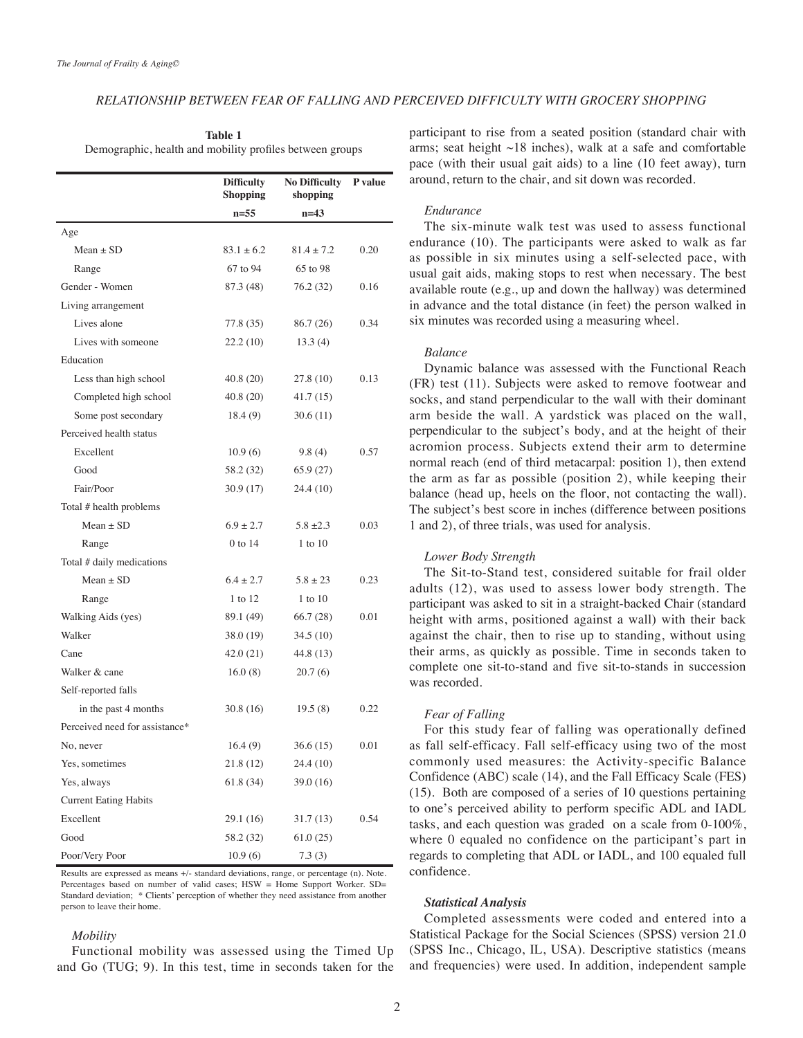# RELATIONSHIP BETWEEN FEAR OF FALLING AND PERCEIVED DIFFICULTY WITH GROCERY SHOPPING

|                                                          | Table 1 |  |
|----------------------------------------------------------|---------|--|
| Demographic, health and mobility profiles between groups |         |  |

|                                | <b>Difficulty</b><br><b>Shopping</b> | <b>No Difficulty</b><br>shopping | P value |
|--------------------------------|--------------------------------------|----------------------------------|---------|
|                                | $n = 55$                             | $n=43$                           |         |
| Age                            |                                      |                                  |         |
| Mean $\pm$ SD                  | $83.1 \pm 6.2$                       | $81.4 \pm 7.2$                   | 0.20    |
| Range                          | 67 to 94                             | 65 to 98                         |         |
| Gender - Women                 | 87.3 (48)                            | 76.2 (32)                        | 0.16    |
| Living arrangement             |                                      |                                  |         |
| Lives alone                    | 77.8 (35)                            | 86.7 (26)                        | 0.34    |
| Lives with someone             | 22.2 (10)                            | 13.3(4)                          |         |
| Education                      |                                      |                                  |         |
| Less than high school          | 40.8 (20)                            | 27.8 (10)                        | 0.13    |
| Completed high school          | 40.8 (20)                            | 41.7 (15)                        |         |
| Some post secondary            | 18.4(9)                              | 30.6 (11)                        |         |
| Perceived health status        |                                      |                                  |         |
| Excellent                      | 10.9(6)                              | 9.8(4)                           | 0.57    |
| Good                           | 58.2 (32)                            | 65.9 (27)                        |         |
| Fair/Poor                      | 30.9 (17)                            | 24.4 (10)                        |         |
| Total # health problems        |                                      |                                  |         |
| $Mean + SD$                    | $6.9 \pm 2.7$                        | $5.8 + 2.3$                      | 0.03    |
| Range                          | $0$ to 14                            | $1$ to $10$                      |         |
| Total # daily medications      |                                      |                                  |         |
| $Mean \pm SD$                  | $6.4 \pm 2.7$                        | $5.8 \pm 23$                     | 0.23    |
| Range                          | 1 to 12                              | 1 to 10                          |         |
| Walking Aids (yes)             | 89.1 (49)                            | 66.7(28)                         | 0.01    |
| Walker                         | 38.0 (19)                            | 34.5 (10)                        |         |
| Cane                           | 42.0 (21)                            | 44.8 (13)                        |         |
| Walker & cane                  | 16.0(8)                              | 20.7(6)                          |         |
| Self-reported falls            |                                      |                                  |         |
| in the past 4 months           | 30.8 (16)                            | 19.5(8)                          | 0.22    |
| Perceived need for assistance* |                                      |                                  |         |
| No, never                      | 16.4(9)                              | 36.6 (15)                        | 0.01    |
| Yes, sometimes                 | 21.8 (12)                            | 24.4 (10)                        |         |
| Yes, always                    | 61.8 (34)                            | 39.0 (16)                        |         |
| <b>Current Eating Habits</b>   |                                      |                                  |         |
| Excellent                      | 29.1 (16)                            | 31.7(13)                         | 0.54    |
| Good                           | 58.2 (32)                            | 61.0(25)                         |         |
| Poor/Very Poor                 | 10.9(6)                              | 7.3(3)                           |         |

Results are expressed as means +/- standard deviations, range, or percentage (n). Note. Percentages based on number of valid cases; HSW = Home Support Worker. SD= Standard deviation; \* Clients' perception of whether they need assistance from another person to leave their home.

### *Mobility*

Functional mobility was assessed using the Timed Up and Go  $(TUG; 9)$ . In this test, time in seconds taken for the participant to rise from a seated position (standard chair with arms; seat height  $\sim$ 18 inches), walk at a safe and comfortable pace (with their usual gait aids) to a line (10 feet away), turn around, return to the chair, and sit down was recorded.

#### *Endurance*

The six-minute walk test was used to assess functional endurance  $(10)$ . The participants were asked to walk as far as possible in six minutes using a self-selected pace, with usual gait aids, making stops to rest when necessary. The best available route (e.g., up and down the hallway) was determined in advance and the total distance (in feet) the person walked in six minutes was recorded using a measuring wheel.

## *Balance*

Dynamic balance was assessed with the Functional Reach  $(FR)$  test  $(11)$ . Subjects were asked to remove footwear and socks, and stand perpendicular to the wall with their dominant arm beside the wall. A yardstick was placed on the wall, perpendicular to the subject's body, and at the height of their acromion process. Subjects extend their arm to determine normal reach (end of third metacarpal: position 1), then extend the arm as far as possible (position 2), while keeping their balance (head up, heels on the floor, not contacting the wall). The subject's best score in inches (difference between positions 1 and 2), of three trials, was used for analysis.

## **Lower Body Strength**

The Sit-to-Stand test, considered suitable for frail older adults  $(12)$ , was used to assess lower body strength. The participant was asked to sit in a straight-backed Chair (standard height with arms, positioned against a wall) with their back against the chair, then to rise up to standing, without using their arms, as quickly as possible. Time in seconds taken to complete one sit-to-stand and five sit-to-stands in succession was recorded.

## *Fear of Falling*

For this study fear of falling was operationally defined as fall self-efficacy. Fall self-efficacy using two of the most commonly used measures: the Activity-specific Balance Confidence (ABC) scale (14), and the Fall Efficacy Scale (FES)  $(15)$ . Both are composed of a series of 10 questions pertaining to one's perceived ability to perform specific ADL and IADL tasks, and each question was graded on a scale from  $0-100\%$ , where  $\theta$  equaled no confidence on the participant's part in regards to completing that ADL or IADL, and 100 equaled full .confidence

### *Analysis Statistical*

Completed assessments were coded and entered into a Statistical Package for the Social Sciences (SPSS) version 21.0 (SPSS Inc., Chicago, IL, USA). Descriptive statistics (means and frequencies) were used. In addition, independent sample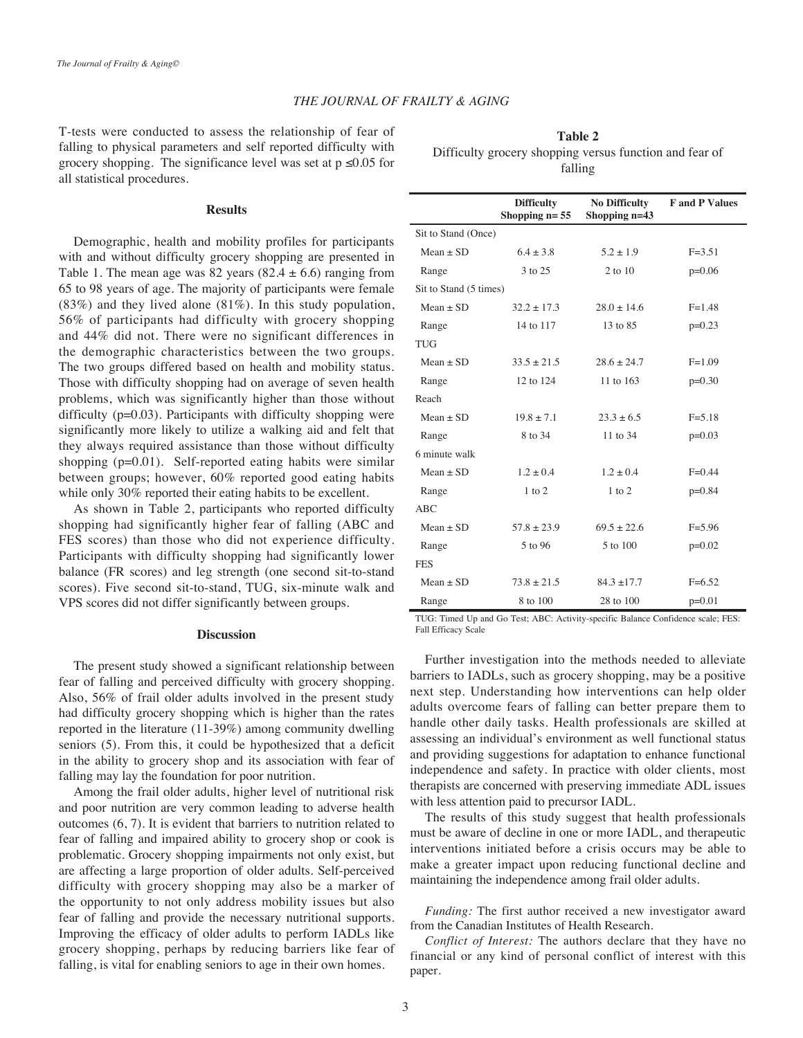# **THE JOURNAL OF FRAILTY & AGING**

T-tests were conducted to assess the relationship of fear of falling to physical parameters and self reported difficulty with grocery shopping. The significance level was set at  $p \le 0.05$  for all statistical procedures.

#### **Results**

Demographic, health and mobility profiles for participants with and without difficulty grocery shopping are presented in Table 1. The mean age was 82 years  $(82.4 \pm 6.6)$  ranging from 65 to 98 years of age. The majority of participants were female  $(83%)$  and they lived alone  $(81%)$ . In this study population, 56% of participants had difficulty with grocery shopping and 44% did not. There were no significant differences in the demographic characteristics between the two groups. The two groups differed based on health and mobility status. Those with difficulty shopping had on average of seven health problems, which was significantly higher than those without difficulty ( $p=0.03$ ). Participants with difficulty shopping were significantly more likely to utilize a walking aid and felt that they always required assistance than those without difficulty shopping  $(p=0.01)$ . Self-reported eating habits were similar between groups; however,  $60\%$  reported good eating habits while only  $30\%$  reported their eating habits to be excellent.

As shown in Table 2, participants who reported difficulty shopping had significantly higher fear of falling (ABC and FES scores) than those who did not experience difficulty. Participants with difficulty shopping had significantly lower balance (FR scores) and leg strength (one second sit-to-stand scores). Five second sit-to-stand, TUG, six-minute walk and VPS scores did not differ significantly between groups.

## **Discussion**

The present study showed a significant relationship between fear of falling and perceived difficulty with grocery shopping. Also, 56% of frail older adults involved in the present study had difficulty grocery shopping which is higher than the rates reported in the literature  $(11-39%)$  among community dwelling seniors (5). From this, it could be hypothesized that a deficit in the ability to grocery shop and its association with fear of falling may lay the foundation for poor nutrition.

Among the frail older adults, higher level of nutritional risk and poor nutrition are very common leading to adverse health outcomes  $(6, 7)$ . It is evident that barriers to nutrition related to fear of falling and impaired ability to grocery shop or cook is problematic. Grocery shopping impairments not only exist, but are affecting a large proportion of older adults. Self-perceived difficulty with grocery shopping may also be a marker of the opportunity to not only address mobility issues but also fear of falling and provide the necessary nutritional supports. Improving the efficacy of older adults to perform IADLs like grocery shopping, perhaps by reducing barriers like fear of falling, is vital for enabling seniors to age in their own homes.

**2 Table** Difficulty grocery shopping versus function and fear of falling

|                        | <b>Difficulty</b><br>Shopping $n=55$ | <b>No Difficulty</b><br>Shopping n=43 | <b>F</b> and <b>P</b> Values |  |  |
|------------------------|--------------------------------------|---------------------------------------|------------------------------|--|--|
| Sit to Stand (Once)    |                                      |                                       |                              |  |  |
| $Mean + SD$            | $6.4 + 3.8$                          | $5.2 + 1.9$                           | $F = 3.51$                   |  |  |
| Range                  | 3 to 25                              | $2$ to $10$                           | $p=0.06$                     |  |  |
| Sit to Stand (5 times) |                                      |                                       |                              |  |  |
| $Mean + SD$            | $32.2 + 17.3$                        | $28.0 + 14.6$                         | $F = 1.48$                   |  |  |
| Range                  | 14 to 117                            | 13 to 85                              | $p=0.23$                     |  |  |
| <b>TUG</b>             |                                      |                                       |                              |  |  |
| $Mean + SD$            | $33.5 + 21.5$                        | $28.6 + 24.7$                         | $F=1.09$                     |  |  |
| Range                  | 12 to 124                            | 11 to 163                             | $p=0.30$                     |  |  |
| Reach                  |                                      |                                       |                              |  |  |
| $Mean + SD$            | $19.8 + 7.1$                         | $23.3 + 6.5$                          | $F = 5.18$                   |  |  |
| Range                  | 8 to 34                              | 11 to 34                              | $p=0.03$                     |  |  |
| 6 minute walk          |                                      |                                       |                              |  |  |
| $Mean + SD$            | $1.2 + 0.4$                          | $1.2 + 0.4$                           | $F=0.44$                     |  |  |
| Range                  | $1$ to $2$                           | $1$ to $2$                            | $p=0.84$                     |  |  |
| ABC                    |                                      |                                       |                              |  |  |
| $Mean + SD$            | $57.8 \pm 23.9$                      | $69.5 + 22.6$                         | $F = 5.96$                   |  |  |
| Range                  | 5 to 96                              | 5 to 100                              | $p=0.02$                     |  |  |
| <b>FES</b>             |                                      |                                       |                              |  |  |
| $Mean + SD$            | $73.8 \pm 21.5$                      | $84.3 + 17.7$                         | $F=6.52$                     |  |  |
| Range                  | 8 to 100                             | 28 to 100                             | $p=0.01$                     |  |  |

TUG: Timed Up and Go Test; ABC: Activity-specific Balance Confidence scale; FES: Fall Efficacy Scale

Further investigation into the methods needed to alleviate barriers to IADLs, such as grocery shopping, may be a positive next step. Understanding how interventions can help older adults overcome fears of falling can better prepare them to handle other daily tasks. Health professionals are skilled at assessing an individual's environment as well functional status and providing suggestions for adaptation to enhance functional independence and safety. In practice with older clients, most therapists are concerned with preserving immediate ADL issues with less attention paid to precursor IADL.

The results of this study suggest that health professionals must be aware of decline in one or more IADL, and therapeutic interventions initiated before a crisis occurs may be able to make a greater impact upon reducing functional decline and maintaining the independence among frail older adults.

Funding: The first author received a new investigator award from the Canadian Institutes of Health Research.

Conflict of *Interest*: The authors declare that they have no financial or any kind of personal conflict of interest with this paper.